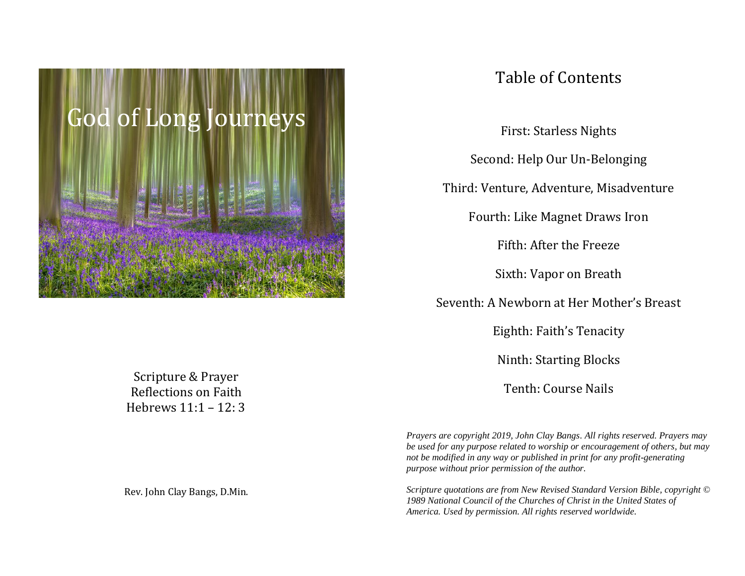

Table of Contents

First: Starless Nights

Second: Help Our Un-Belonging

Third: Venture, Adventure, Misadventure

Fourth: Like Magnet Draws Iron

Fifth: After the Freeze

Sixth: Vapor on Breath

Seventh: A Newborn at Her Mother's Breast

Eighth: Faith's Tenacity

Ninth: Starting Blocks

Tenth: Course Nails

*Prayers are copyright 2019, John Clay Bangs. All rights reserved. Prayers may be used for any purpose related to worship or encouragement of others, but may not be modified in any way or published in print for any profit-generating purpose without prior permission of the author.* 

*Scripture quotations are from New Revised Standard Version Bible, copyright © 1989 National Council of the Churches of Christ in the United States of America. Used by permission. All rights reserved worldwide.*

Scripture & Prayer Reflections on Faith Hebrews 11:1 – 12: 3

Rev. John Clay Bangs, D.Min.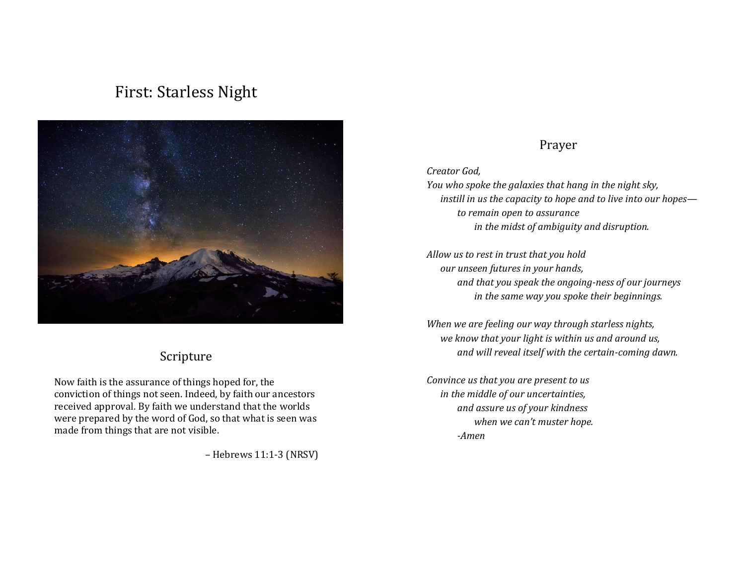# First: Starless Night



### Scripture

Now faith is the assurance of things hoped for, the conviction of things not seen. Indeed, by faith our ancestors received approval. By faith we understand that the worlds were prepared by the word of God, so that what is seen was made from things that are not visible.

– Hebrews 11:1-3 (NRSV)

### Prayer

*Creator God,* 

*You who spoke the galaxies that hang in the night sky, instill in us the capacity to hope and to live into our hopes to remain open to assurance in the midst of ambiguity and disruption.*

*Allow us to rest in trust that you hold our unseen futures in your hands, and that you speak the ongoing-ness of our journeys in the same way you spoke their beginnings.* 

*When we are feeling our way through starless nights, we know that your light is within us and around us, and will reveal itself with the certain-coming dawn.* 

*Convince us that you are present to us in the middle of our uncertainties, and assure us of your kindness when we can't muster hope. -Amen*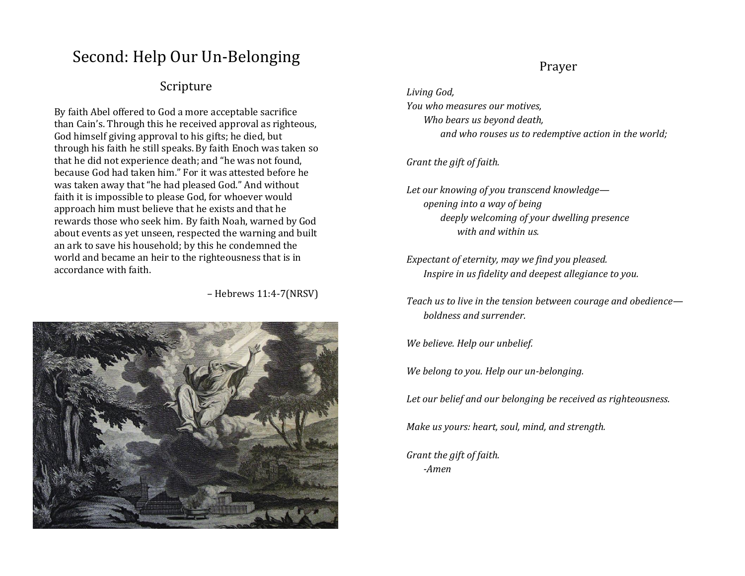# Second: Help Our Un-Belonging

### Scripture

By faith Abel offered to God a more acceptable sacrifice than Cain's. Through this he received approval as righteous, God himself giving approval to his gifts; he died, but through his faith he still speaks.By faith Enoch was taken so that he did not experience death; and "he was not found, because God had taken him." For it was attested before he was taken away that "he had pleased God." And without faith it is impossible to please God, for whoever would approach him must believe that he exists and that he rewards those who seek him. By faith Noah, warned by God about events as yet unseen, respected the warning and built an ark to save his household; by this he condemned the world and became an heir to the righteousness that is in accordance with faith.

– Hebrews 11:4-7(NRSV)



### Prayer

*Living God, You who measures our motives, Who bears us beyond death, and who rouses us to redemptive action in the world;* 

#### *Grant the gift of faith.*

*Let our knowing of you transcend knowledge opening into a way of being deeply welcoming of your dwelling presence with and within us.*

*Expectant of eternity, may we find you pleased. Inspire in us fidelity and deepest allegiance to you.* 

*Teach us to live in the tension between courage and obedience boldness and surrender.*

*We believe. Help our unbelief.* 

*We belong to you. Help our un-belonging.*

*Let our belief and our belonging be received as righteousness.*

*Make us yours: heart, soul, mind, and strength.* 

*Grant the gift of faith. -Amen*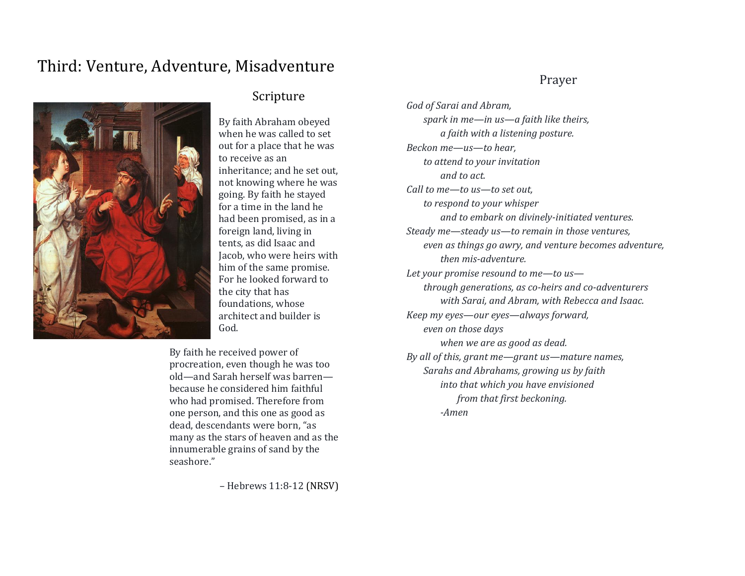## Third: Venture, Adventure, Misadventure



### Scripture

By faith Abraham obeyed when he was called to set out for a place that he was to receive as an inheritance; and he set out, not knowing where he was going. By faith he stayed for a time in the land he had been promised, as in a foreign land, living in tents, as did Isaac and Jacob, who were heirs with him of the same promise. For he looked forward to the city that has foundations, whose architect and builder is God.

By faith he received power of procreation, even though he was too old—and Sarah herself was barren because he considered him faithful who had promised. Therefore from one person, and this one as good as dead, descendants were born, "as many as the stars of heaven and as the innumerable grains of sand by the seashore."

– Hebrews 11:8-12 (NRSV)

### Prayer

*God of Sarai and Abram, spark in me—in us—a faith like theirs, a faith with a listening posture. Beckon me—us—to hear, to attend to your invitation and to act. Call to me—to us—to set out, to respond to your whisper and to embark on divinely-initiated ventures. Steady me—steady us—to remain in those ventures, even as things go awry, and venture becomes adventure, then mis-adventure. Let your promise resound to me—to us through generations, as co-heirs and co-adventurers with Sarai, and Abram, with Rebecca and Isaac. Keep my eyes—our eyes—always forward, even on those days when we are as good as dead. By all of this, grant me—grant us—mature names, Sarahs and Abrahams, growing us by faith into that which you have envisioned from that first beckoning. -Amen*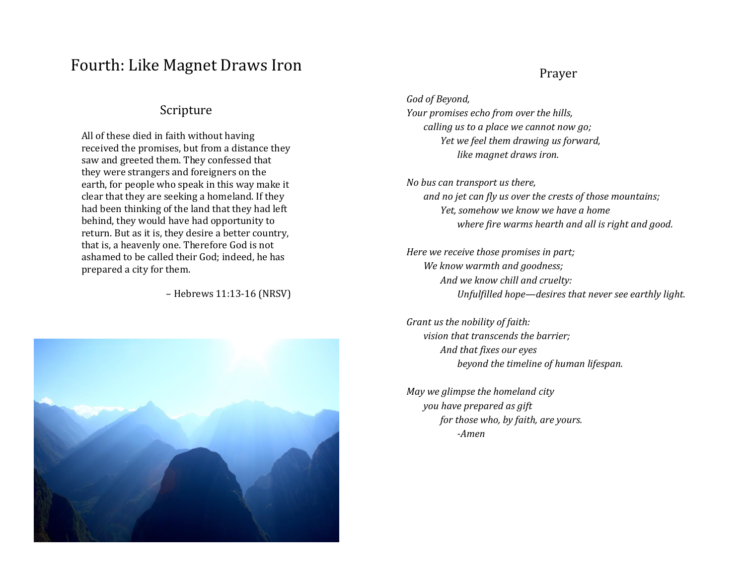### Fourth: Like Magnet Draws Iron

### Scripture

All of these died in faith without having received the promises, but from a distance they saw and greeted them. They confessed that they were strangers and foreigners on the earth, for people who speak in this way make it clear that they are seeking a homeland. If they had been thinking of the land that they had left behind, they would have had opportunity to return. But as it is, they desire a better country, that is, a heavenly one. Therefore God is not ashamed to be called their God; indeed, he has prepared a city for them.

– Hebrews 11:13-16 (NRSV)



#### Prayer

*God of Beyond, Your promises echo from over the hills, calling us to a place we cannot now go; Yet we feel them drawing us forward, like magnet draws iron.*

*No bus can transport us there, and no jet can fly us over the crests of those mountains; Yet, somehow we know we have a home where fire warms hearth and all is right and good.*

*Here we receive those promises in part; We know warmth and goodness; And we know chill and cruelty: Unfulfilled hope—desires that never see earthly light.*

*Grant us the nobility of faith: vision that transcends the barrier; And that fixes our eyes beyond the timeline of human lifespan.*

*May we glimpse the homeland city you have prepared as gift for those who, by faith, are yours. -Amen*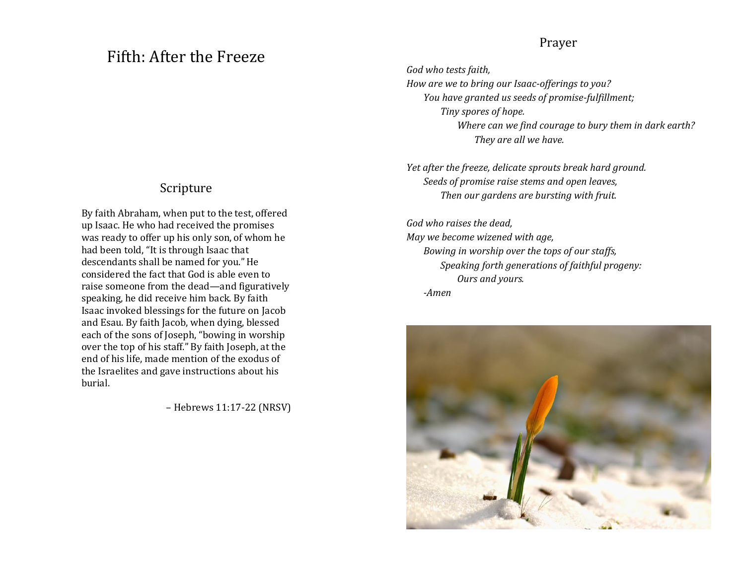### Fifth: After the Freeze

### Scripture

By faith Abraham, when put to the test, offered up Isaac. He who had received the promises was ready to offer up his only son, of whom he had been told, "It is through Isaac that descendants shall be named for you." He considered the fact that God is able even to raise someone from the dead—and figuratively speaking, he did receive him back. By faith Isaac invoked blessings for the future on Jacob and Esau. By faith Jacob, when dying, blessed each of the sons of Joseph, "bowing in worship over the top of his staff." By faith Joseph, at the end of his life, made mention of the exodus of the Israelites and gave instructions about his burial.

– Hebrews 11:17-22 (NRSV)

### Prayer

*God who tests faith, How are we to bring our Isaac-offerings to you? You have granted us seeds of promise-fulfillment; Tiny spores of hope. Where can we find courage to bury them in dark earth? They are all we have.*

*Yet after the freeze, delicate sprouts break hard ground. Seeds of promise raise stems and open leaves, Then our gardens are bursting with fruit.*

*God who raises the dead, May we become wizened with age, Bowing in worship over the tops of our staffs, Speaking forth generations of faithful progeny: Ours and yours. -Amen*

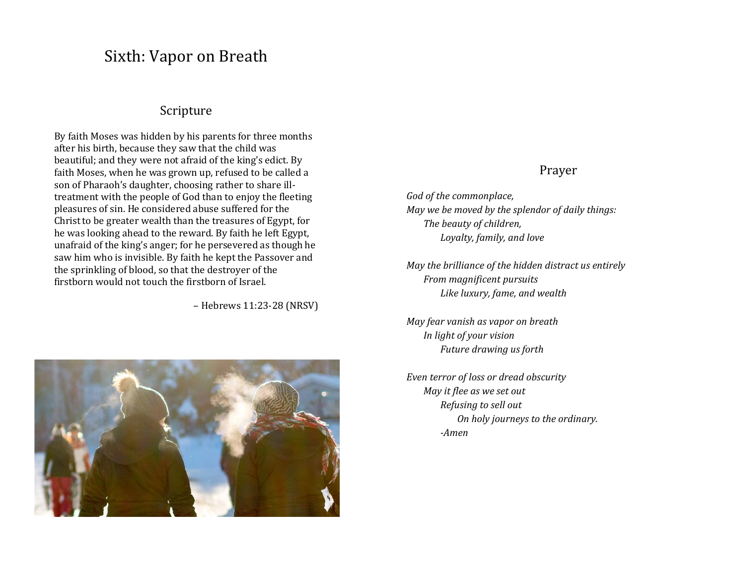### Sixth: Vapor on Breath

#### Scripture

By faith Moses was hidden by his parents for three months after his birth, because they saw that the child was beautiful; and they were not afraid of the king's edict. By faith Moses, when he was grown up, refused to be called a son of Pharaoh's daughter, choosing rather to share illtreatment with the people of God than to enjoy the fleeting pleasures of sin. He considered abuse suffered for the Christto be greater wealth than the treasures of Egypt, for he was looking ahead to the reward. By faith he left Egypt, unafraid of the king's anger; for he persevered as though he saw him who is invisible. By faith he kept the Passover and the sprinkling of blood, so that the destroyer of the firstborn would not touch the firstborn of Israel.

– Hebrews 11:23-28 (NRSV)



### Prayer

*God of the commonplace, May we be moved by the splendor of daily things: The beauty of children, Loyalty, family, and love*

*May the brilliance of the hidden distract us entirely From magnificent pursuits Like luxury, fame, and wealth*

*May fear vanish as vapor on breath In light of your vision Future drawing us forth*

*Even terror of loss or dread obscurity May it flee as we set out Refusing to sell out On holy journeys to the ordinary. -Amen*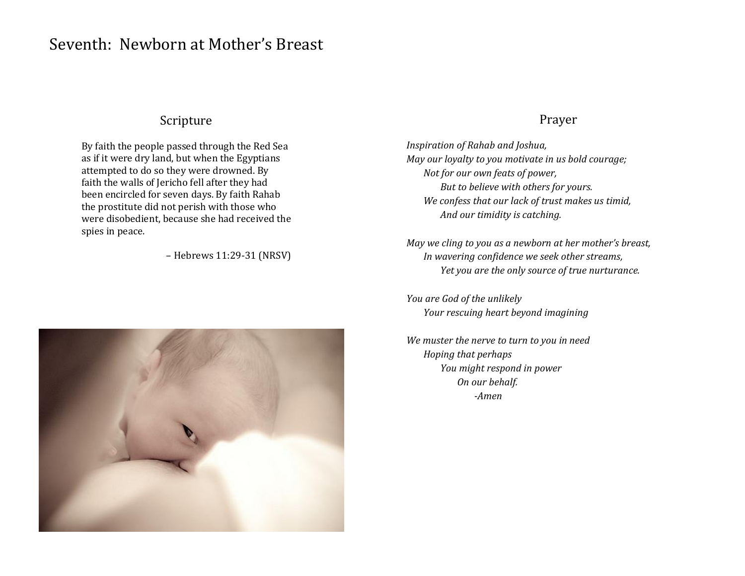## Seventh: Newborn at Mother's Breast

### Scripture

By faith the people passed through the Red Sea as if it were dry land, but when the Egyptians attempted to do so they were drowned. By faith the walls of Jericho fell after they had been encircled for seven days. By faith Rahab the prostitute did not perish with those who were disobedient, because she had received the spies in peace.

– Hebrews 11:29-31 (NRSV)



#### Prayer

*Inspiration of Rahab and Joshua, May our loyalty to you motivate in us bold courage; Not for our own feats of power, But to believe with others for yours. We confess that our lack of trust makes us timid, And our timidity is catching.*

*May we cling to you as a newborn at her mother's breast, In wavering confidence we seek other streams, Yet you are the only source of true nurturance.*

*You are God of the unlikely Your rescuing heart beyond imagining*

*We muster the nerve to turn to you in need Hoping that perhaps You might respond in power On our behalf. -Amen*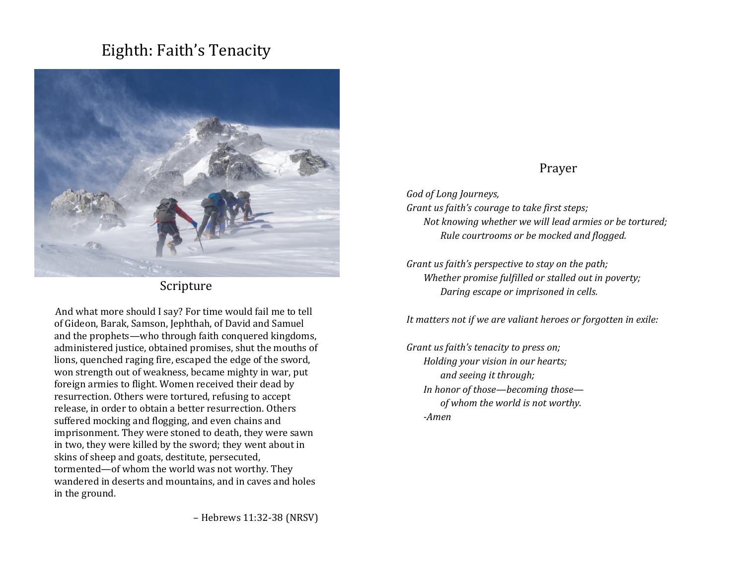# Eighth: Faith's Tenacity



Scripture

And what more should I say? For time would fail me to tell of Gideon, Barak, Samson, Jephthah, of David and Samuel and the prophets—who through faith conquered kingdoms, administered justice, obtained promises, shut the mouths of lions, quenched raging fire, escaped the edge of the sword, won strength out of weakness, became mighty in war, put foreign armies to flight. Women received their dead by resurrection. Others were tortured, refusing to accept release, in order to obtain a better resurrection. Others suffered mocking and flogging, and even chains and imprisonment. They were stoned to death, they were sawn in two, they were killed by the sword; they went about in skins of sheep and goats, destitute, persecuted, tormented—of whom the world was not worthy. They wandered in deserts and mountains, and in caves and holes in the ground.

– Hebrews 11:32-38 (NRSV)

### Prayer

*God of Long Journeys, Grant us faith's courage to take first steps; Not knowing whether we will lead armies or be tortured;*

*Rule courtrooms or be mocked and flogged.*

*Grant us faith's perspective to stay on the path; Whether promise fulfilled or stalled out in poverty; Daring escape or imprisoned in cells.*

*It matters not if we are valiant heroes or forgotten in exile:*

*Grant us faith's tenacity to press on; Holding your vision in our hearts; and seeing it through; In honor of those—becoming those of whom the world is not worthy. -Amen*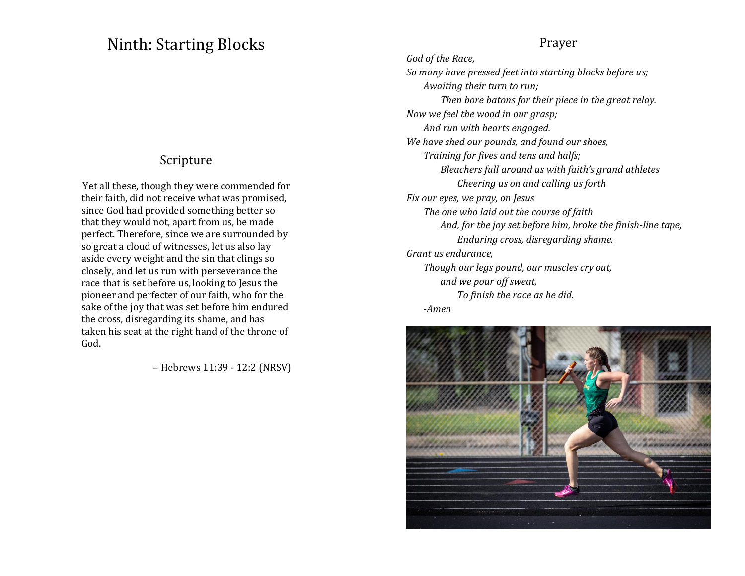### Ninth: Starting Blocks

### Scripture

Yet all these, though they were commended for their faith, did not receive what was promised, since God had provided something better so that they would not, apart from us, be made perfect. Therefore, since we are surrounded by so great a cloud of witnesses, let us also lay aside every weight and the sin that clings so closely, and let us run with perseverance the race that is set before us, looking to Jesus the pioneer and perfecter of our faith, who for the sake ofthe joy that was set before him endured the cross, disregarding its shame, and has taken his seat at the right hand of the throne of God.

– Hebrews 11:39 - 12:2 (NRSV)

#### Prayer

*God of the Race, So many have pressed feet into starting blocks before us; Awaiting their turn to run; Then bore batons for their piece in the great relay. Now we feel the wood in our grasp; And run with hearts engaged. We have shed our pounds, and found our shoes, Training for fives and tens and halfs; Bleachers full around us with faith's grand athletes Cheering us on and calling us forth Fix our eyes, we pray, on Jesus The one who laid out the course of faith And, for the joy set before him, broke the finish-line tape, Enduring cross, disregarding shame. Grant us endurance, Though our legs pound, our muscles cry out, and we pour off sweat, To finish the race as he did. -Amen*